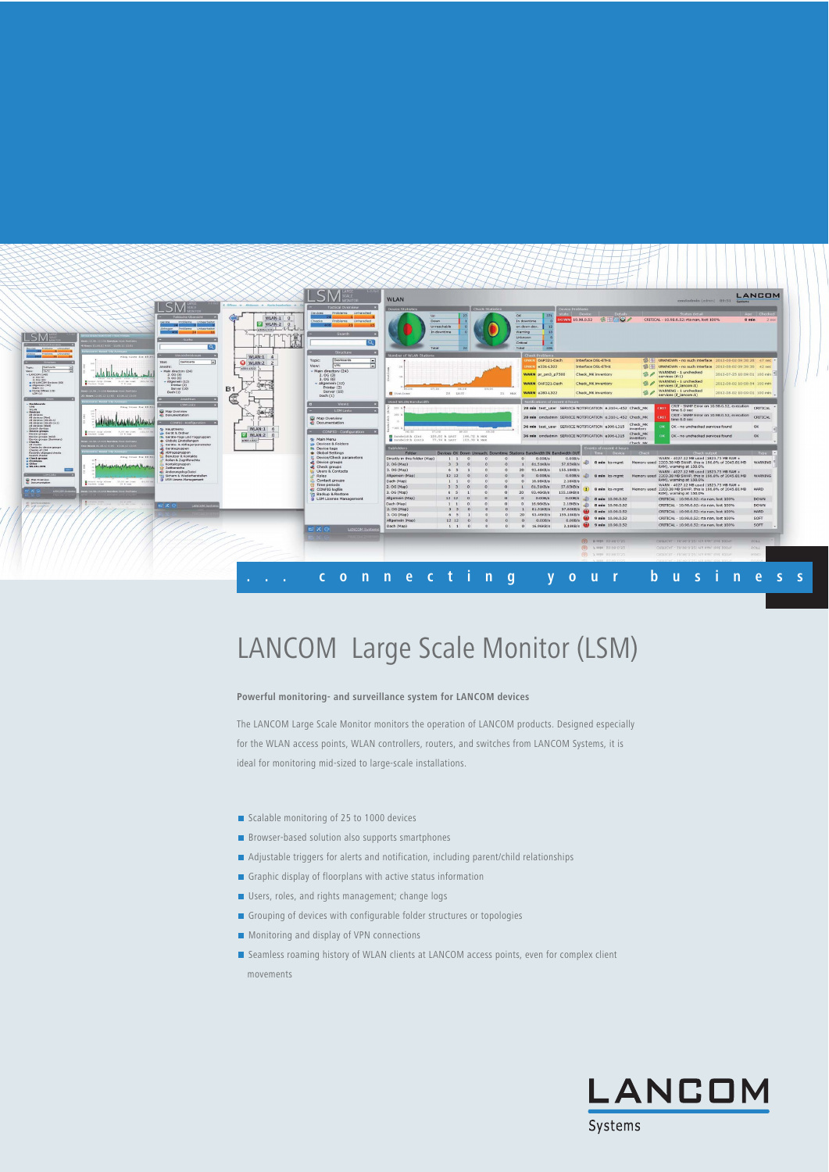

### LANCOM Large Scale Monitor (LSM)

#### **Powerful monitoring- and surveillance system for LANCOM devices**

The LANCOM Large Scale Monitor monitors the operation of LANCOM products. Designed especially for the WLAN access points, WLAN controllers, routers, and switches from LANCOM Systems, it is ideal for monitoring mid-sized to large-scale installations.

- Scalable monitoring of 25 to 1000 devices
- Browser-based solution also supports smartphones
- Adjustable triggers for alerts and notification, including parent/child relationships
- Graphic display of floorplans with active status information
- Users, roles, and rights management; change logs
- Grouping of devices with configurable folder structures or topologies
- **Monitoring and display of VPN connections**
- Seamless roaming history of WLAN clients at LANCOM access points, even for complex client movements

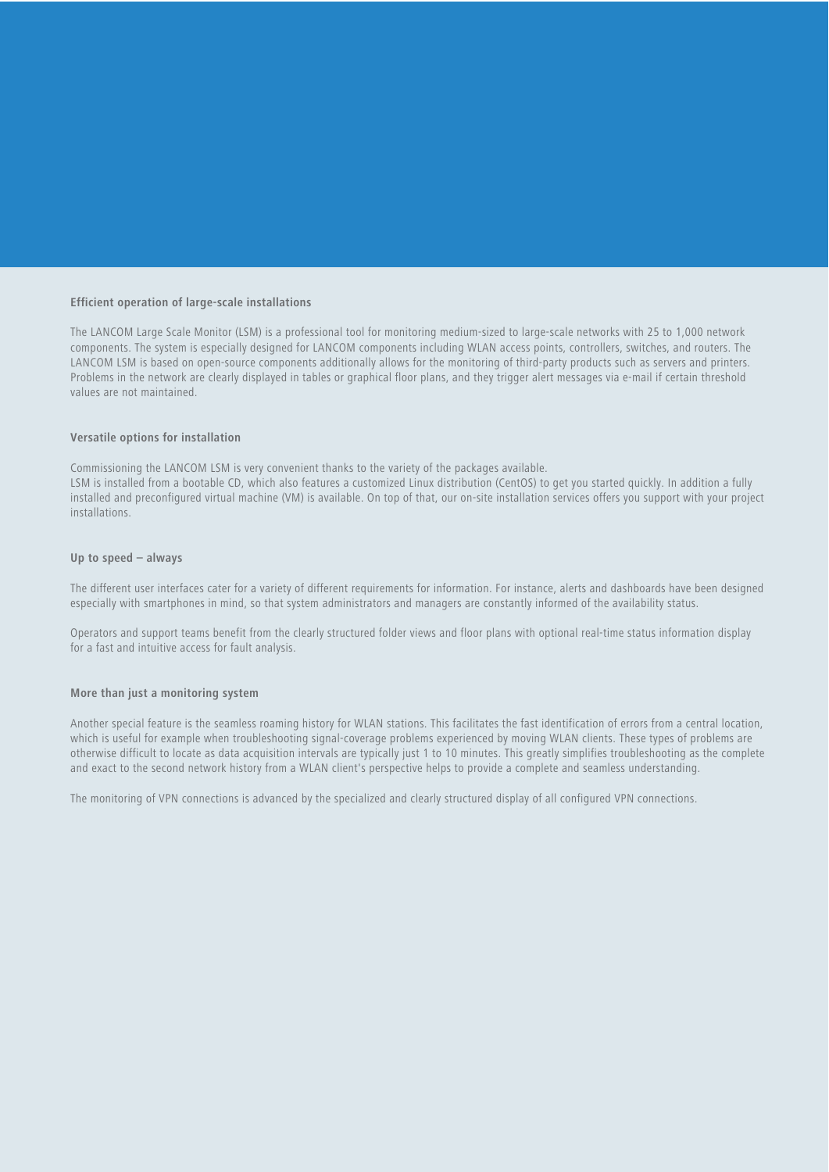#### **Efficient operation of large-scale installations**

The LANCOM Large Scale Monitor (LSM) is a professional tool for monitoring medium-sized to large-scale networks with 25 to 1,000 network components. The system is especially designed for LANCOM components including WLAN access points, controllers, switches, and routers. The LANCOM LSM is based on open-source components additionally allows for the monitoring of third-party products such as servers and printers. Problems in the network are clearly displayed in tables or graphical floor plans, and they trigger alert messages via e-mail if certain threshold values are not maintained.

#### **Versatile options for installation**

Commissioning the LANCOM LSM is very convenient thanks to the variety of the packages available. LSM is installed from a bootable CD, which also features a customized Linux distribution (CentOS) to get you started quickly. In addition a fully installed and preconfigured virtual machine (VM) is available. On top of that, our on-site installation services offers you support with your project installations.

#### **Up to speed – always**

The different user interfaces cater for a variety of different requirements for information. For instance, alerts and dashboards have been designed especially with smartphones in mind, so that system administrators and managers are constantly informed of the availability status.

Operators and support teams benefit from the clearly structured folder views and floor plans with optional real-time status information display for a fast and intuitive access for fault analysis.

#### **More than just a monitoring system**

Another special feature is the seamless roaming history for WLAN stations. This facilitates the fast identification of errors from a central location, which is useful for example when troubleshooting signal-coverage problems experienced by moving WLAN clients. These types of problems are otherwise difficult to locate as data acquisition intervals are typically just 1 to 10 minutes. This greatly simplifies troubleshooting as the complete and exact to the second network history from a WLAN client's perspective helps to provide a complete and seamless understanding.

The monitoring of VPN connections is advanced by the specialized and clearly structured display of all configured VPN connections.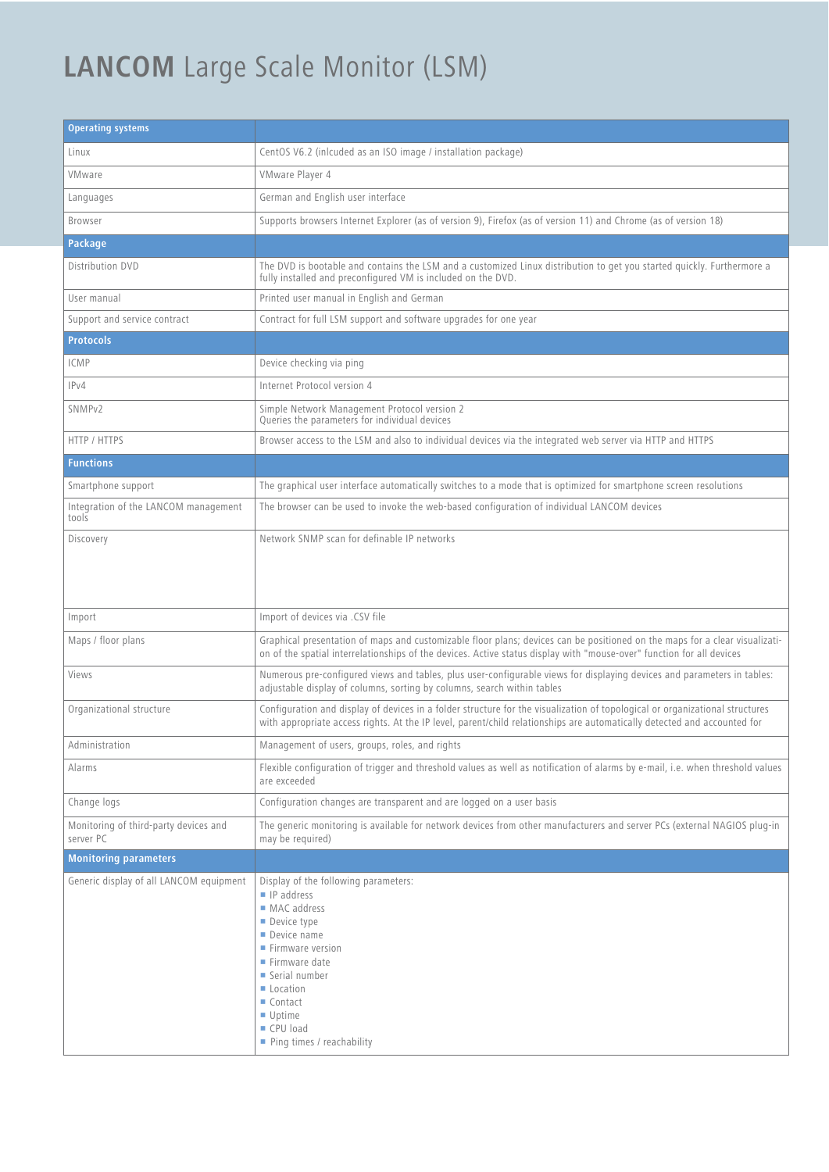# **LANCOM** Large Scale Monitor (LSM)

| <b>Operating systems</b>                           |                                                                                                                                                                                                                                                             |
|----------------------------------------------------|-------------------------------------------------------------------------------------------------------------------------------------------------------------------------------------------------------------------------------------------------------------|
| Linux                                              | CentOS V6.2 (inlcuded as an ISO image / installation package)                                                                                                                                                                                               |
| VMware                                             | VMware Player 4                                                                                                                                                                                                                                             |
| Languages                                          | German and English user interface                                                                                                                                                                                                                           |
| Browser                                            | Supports browsers Internet Explorer (as of version 9), Firefox (as of version 11) and Chrome (as of version 18)                                                                                                                                             |
| Package                                            |                                                                                                                                                                                                                                                             |
| Distribution DVD                                   | The DVD is bootable and contains the LSM and a customized Linux distribution to get you started quickly. Furthermore a<br>fully installed and preconfigured VM is included on the DVD.                                                                      |
| User manual                                        | Printed user manual in English and German                                                                                                                                                                                                                   |
| Support and service contract                       | Contract for full LSM support and software upgrades for one year                                                                                                                                                                                            |
| <b>Protocols</b>                                   |                                                                                                                                                                                                                                                             |
| <b>ICMP</b>                                        | Device checking via ping                                                                                                                                                                                                                                    |
| IPv4                                               | Internet Protocol version 4                                                                                                                                                                                                                                 |
| SNMP <sub>v2</sub>                                 | Simple Network Management Protocol version 2<br>Queries the parameters for individual devices                                                                                                                                                               |
| HTTP / HTTPS                                       | Browser access to the LSM and also to individual devices via the integrated web server via HTTP and HTTPS                                                                                                                                                   |
| <b>Functions</b>                                   |                                                                                                                                                                                                                                                             |
| Smartphone support                                 | The graphical user interface automatically switches to a mode that is optimized for smartphone screen resolutions                                                                                                                                           |
| Integration of the LANCOM management<br>tools      | The browser can be used to invoke the web-based configuration of individual LANCOM devices                                                                                                                                                                  |
| Discovery                                          | Network SNMP scan for definable IP networks                                                                                                                                                                                                                 |
| Import                                             | Import of devices via .CSV file                                                                                                                                                                                                                             |
| Maps / floor plans                                 | Graphical presentation of maps and customizable floor plans; devices can be positioned on the maps for a clear visualizati-<br>on of the spatial interrelationships of the devices. Active status display with "mouse-over" function for all devices        |
| Views                                              | Numerous pre-configured views and tables, plus user-configurable views for displaying devices and parameters in tables:<br>adjustable display of columns, sorting by columns, search within tables                                                          |
| Organizational structure                           | Configuration and display of devices in a folder structure for the visualization of topological or organizational structures<br>with appropriate access rights. At the IP level, parent/child relationships are automatically detected and accounted for    |
| Administration                                     | Management of users, groups, roles, and rights                                                                                                                                                                                                              |
| Alarms                                             | Flexible configuration of trigger and threshold values as well as notification of alarms by e-mail, i.e. when threshold values<br>are exceeded                                                                                                              |
| Change logs                                        | Configuration changes are transparent and are logged on a user basis                                                                                                                                                                                        |
| Monitoring of third-party devices and<br>server PC | The generic monitoring is available for network devices from other manufacturers and server PCs (external NAGIOS plug-in<br>may be required)                                                                                                                |
| <b>Monitoring parameters</b>                       |                                                                                                                                                                                                                                                             |
| Generic display of all LANCOM equipment            | Display of the following parameters:<br>$\blacksquare$ IP address<br>■ MAC address<br>Device type<br>Device name<br>Firmware version<br>Firmware date<br>Serial number<br><b>Location</b><br>■ Contact<br>■ Uptime<br>CPU load<br>Ping times / reachability |